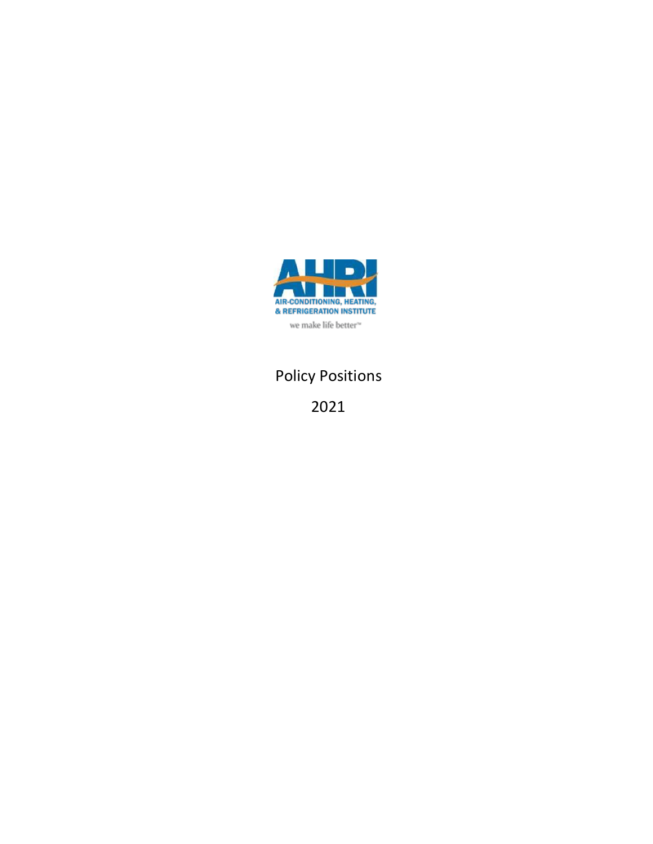

# Policy Positions

2021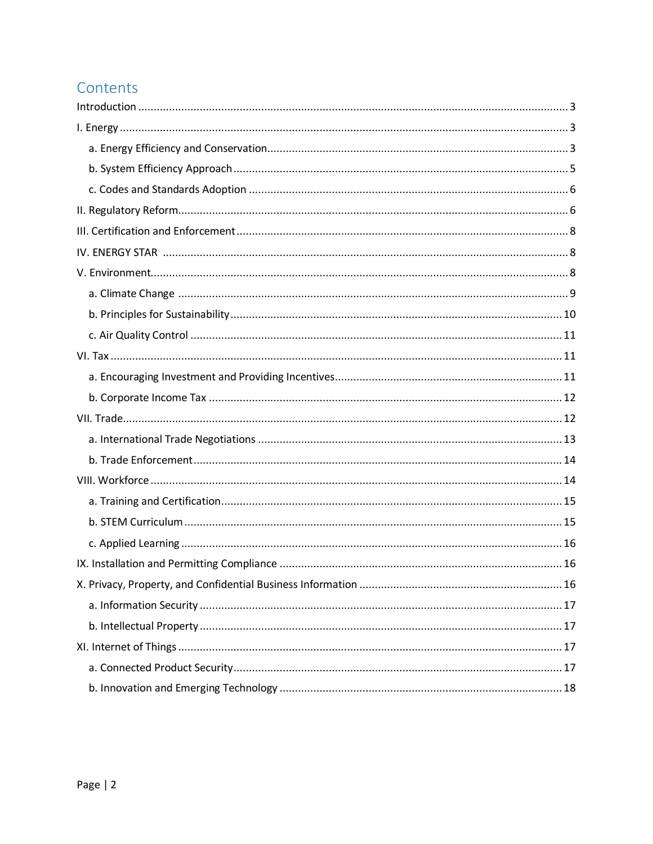# Contents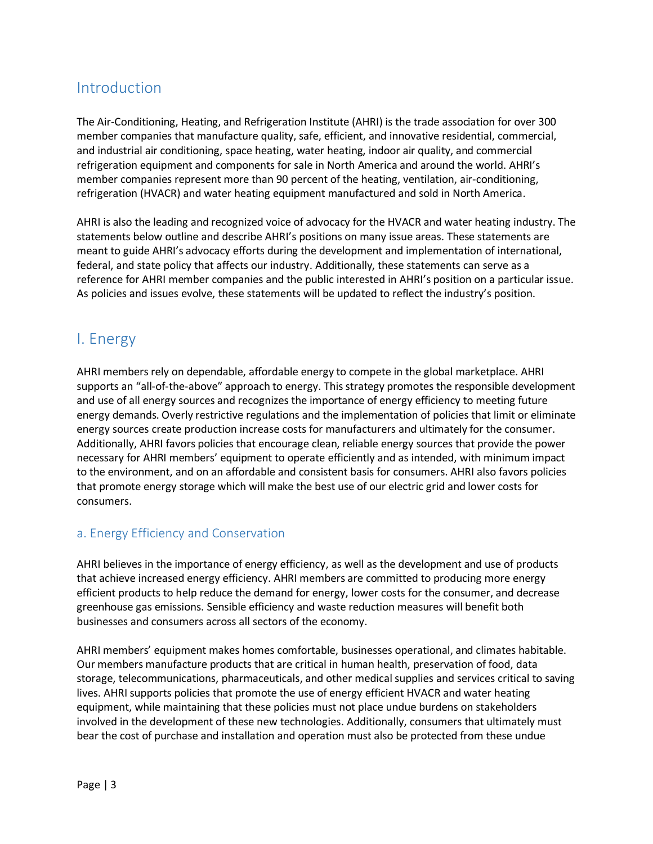## <span id="page-2-0"></span>Introduction

The Air-Conditioning, Heating, and Refrigeration Institute (AHRI) is the trade association for over 300 member companies that manufacture quality, safe, efficient, and innovative residential, commercial, and industrial air conditioning, space heating, water heating, indoor air quality, and commercial refrigeration equipment and components for sale in North America and around the world. AHRI's member companies represent more than 90 percent of the heating, ventilation, air-conditioning, refrigeration (HVACR) and water heating equipment manufactured and sold in North America.

AHRI is also the leading and recognized voice of advocacy for the HVACR and water heating industry. The statements below outline and describe AHRI's positions on many issue areas. These statements are meant to guide AHRI's advocacy efforts during the development and implementation of international, federal, and state policy that affects our industry. Additionally, these statements can serve as a reference for AHRI member companies and the public interested in AHRI's position on a particular issue. As policies and issues evolve, these statements will be updated to reflect the industry's position.

# <span id="page-2-1"></span>I. Energy

AHRI members rely on dependable, affordable energy to compete in the global marketplace. AHRI supports an "all-of-the-above" approach to energy. This strategy promotes the responsible development and use of all energy sources and recognizes the importance of energy efficiency to meeting future energy demands. Overly restrictive regulations and the implementation of policies that limit or eliminate energy sources create production increase costs for manufacturers and ultimately for the consumer. Additionally, AHRI favors policies that encourage clean, reliable energy sources that provide the power necessary for AHRI members' equipment to operate efficiently and as intended, with minimum impact to the environment, and on an affordable and consistent basis for consumers. AHRI also favors policies that promote energy storage which will make the best use of our electric grid and lower costs for consumers.

### <span id="page-2-2"></span>a. Energy Efficiency and Conservation

AHRI believes in the importance of energy efficiency, as well as the development and use of products that achieve increased energy efficiency. AHRI members are committed to producing more energy efficient products to help reduce the demand for energy, lower costs for the consumer, and decrease greenhouse gas emissions. Sensible efficiency and waste reduction measures will benefit both businesses and consumers across all sectors of the economy.

AHRI members' equipment makes homes comfortable, businesses operational, and climates habitable. Our members manufacture products that are critical in human health, preservation of food, data storage, telecommunications, pharmaceuticals, and other medical supplies and services critical to saving lives. AHRI supports policies that promote the use of energy efficient HVACR and water heating equipment, while maintaining that these policies must not place undue burdens on stakeholders involved in the development of these new technologies. Additionally, consumers that ultimately must bear the cost of purchase and installation and operation must also be protected from these undue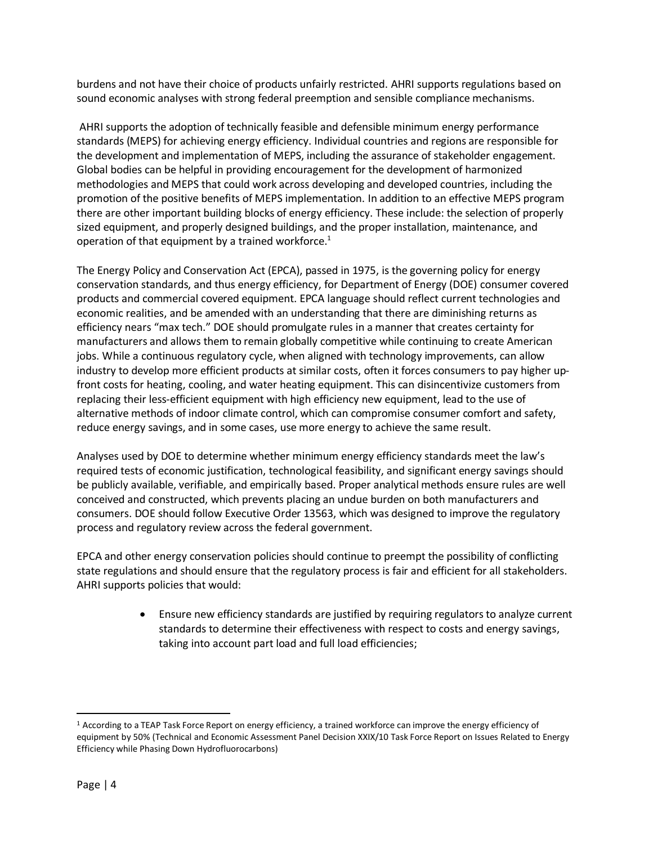burdens and not have their choice of products unfairly restricted. AHRI supports regulations based on sound economic analyses with strong federal preemption and sensible compliance mechanisms.

AHRI supports the adoption of technically feasible and defensible minimum energy performance standards (MEPS) for achieving energy efficiency. Individual countries and regions are responsible for the development and implementation of MEPS, including the assurance of stakeholder engagement. Global bodies can be helpful in providing encouragement for the development of harmonized methodologies and MEPS that could work across developing and developed countries, including the promotion of the positive benefits of MEPS implementation. In addition to an effective MEPS program there are other important building blocks of energy efficiency. These include: the selection of properly sized equipment, and properly designed buildings, and the proper installation, maintenance, and operation of that equipment by a trained workforce.<sup>1</sup>

The Energy Policy and Conservation Act (EPCA), passed in 1975, is the governing policy for energy conservation standards, and thus energy efficiency, for Department of Energy (DOE) consumer covered products and commercial covered equipment. EPCA language should reflect current technologies and economic realities, and be amended with an understanding that there are diminishing returns as efficiency nears "max tech." DOE should promulgate rules in a manner that creates certainty for manufacturers and allows them to remain globally competitive while continuing to create American jobs. While a continuous regulatory cycle, when aligned with technology improvements, can allow industry to develop more efficient products at similar costs, often it forces consumers to pay higher upfront costs for heating, cooling, and water heating equipment. This can disincentivize customers from replacing their less-efficient equipment with high efficiency new equipment, lead to the use of alternative methods of indoor climate control, which can compromise consumer comfort and safety, reduce energy savings, and in some cases, use more energy to achieve the same result.

Analyses used by DOE to determine whether minimum energy efficiency standards meet the law's required tests of economic justification, technological feasibility, and significant energy savings should be publicly available, verifiable, and empirically based. Proper analytical methods ensure rules are well conceived and constructed, which prevents placing an undue burden on both manufacturers and consumers. DOE should follow Executive Order 13563, which was designed to improve the regulatory process and regulatory review across the federal government.

EPCA and other energy conservation policies should continue to preempt the possibility of conflicting state regulations and should ensure that the regulatory process is fair and efficient for all stakeholders. AHRI supports policies that would:

> • Ensure new efficiency standards are justified by requiring regulators to analyze current standards to determine their effectiveness with respect to costs and energy savings, taking into account part load and full load efficiencies;

<sup>1</sup> According to a TEAP Task Force Report on energy efficiency, a trained workforce can improve the energy efficiency of equipment by 50% (Technical and Economic Assessment Panel Decision XXIX/10 Task Force Report on Issues Related to Energy Efficiency while Phasing Down Hydrofluorocarbons)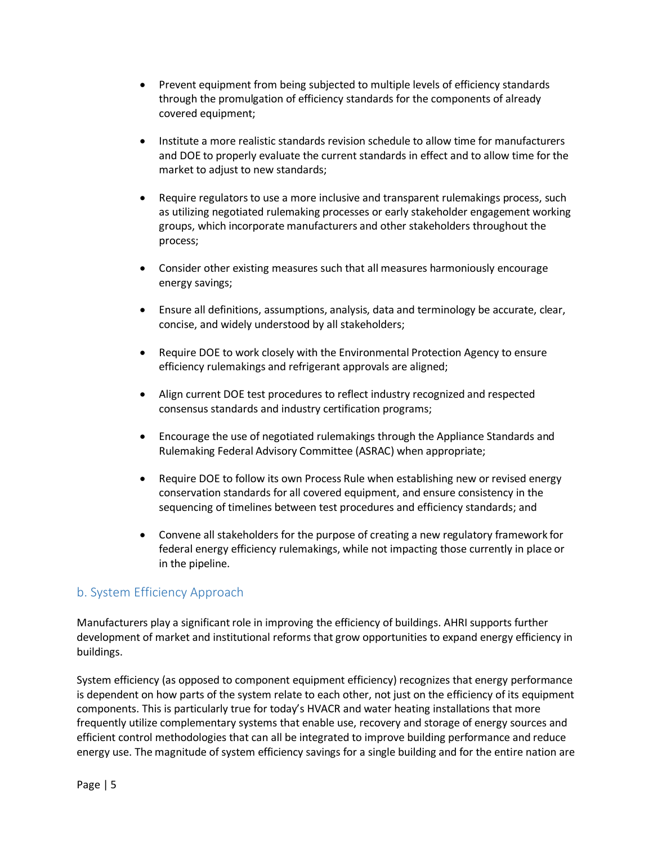- Prevent equipment from being subjected to multiple levels of efficiency standards through the promulgation of efficiency standards for the components of already covered equipment;
- Institute a more realistic standards revision schedule to allow time for manufacturers and DOE to properly evaluate the current standards in effect and to allow time for the market to adjust to new standards;
- Require regulators to use a more inclusive and transparent rulemakings process, such as utilizing negotiated rulemaking processes or early stakeholder engagement working groups, which incorporate manufacturers and other stakeholders throughout the process;
- Consider other existing measures such that all measures harmoniously encourage energy savings;
- Ensure all definitions, assumptions, analysis, data and terminology be accurate, clear, concise, and widely understood by all stakeholders;
- Require DOE to work closely with the Environmental Protection Agency to ensure efficiency rulemakings and refrigerant approvals are aligned;
- Align current DOE test procedures to reflect industry recognized and respected consensus standards and industry certification programs;
- Encourage the use of negotiated rulemakings through the Appliance Standards and Rulemaking Federal Advisory Committee (ASRAC) when appropriate;
- Require DOE to follow its own Process Rule when establishing new or revised energy conservation standards for all covered equipment, and ensure consistency in the sequencing of timelines between test procedures and efficiency standards; and
- Convene all stakeholders for the purpose of creating a new regulatory framework for federal energy efficiency rulemakings, while not impacting those currently in place or in the pipeline.

### <span id="page-4-0"></span>b. System Efficiency Approach

Manufacturers play a significant role in improving the efficiency of buildings. AHRI supports further development of market and institutional reforms that grow opportunities to expand energy efficiency in buildings.

System efficiency (as opposed to component equipment efficiency) recognizes that energy performance is dependent on how parts of the system relate to each other, not just on the efficiency of its equipment components. This is particularly true for today's HVACR and water heating installations that more frequently utilize complementary systems that enable use, recovery and storage of energy sources and efficient control methodologies that can all be integrated to improve building performance and reduce energy use. The magnitude of system efficiency savings for a single building and for the entire nation are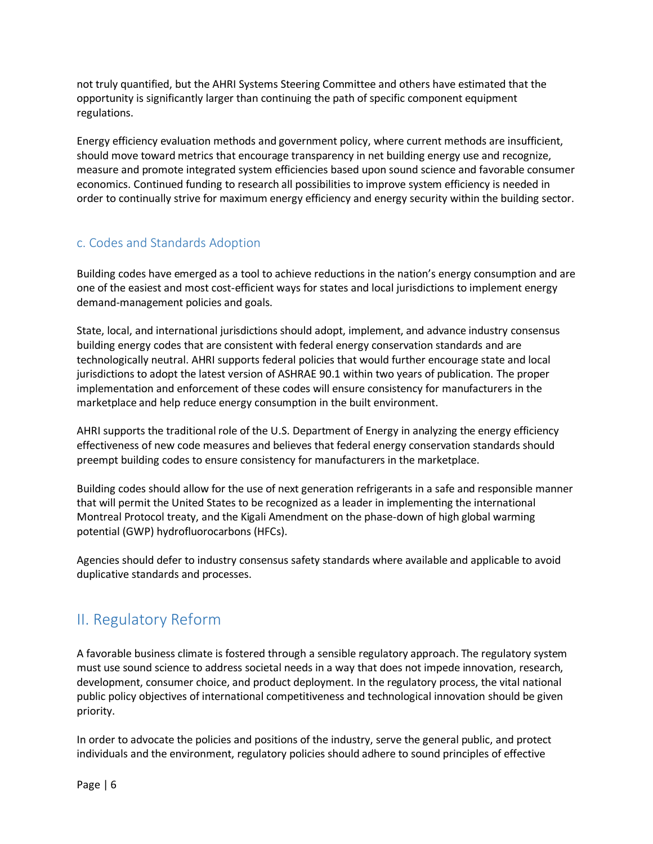not truly quantified, but the AHRI Systems Steering Committee and others have estimated that the opportunity is significantly larger than continuing the path of specific component equipment regulations.

Energy efficiency evaluation methods and government policy, where current methods are insufficient, should move toward metrics that encourage transparency in net building energy use and recognize, measure and promote integrated system efficiencies based upon sound science and favorable consumer economics. Continued funding to research all possibilities to improve system efficiency is needed in order to continually strive for maximum energy efficiency and energy security within the building sector.

### <span id="page-5-0"></span>c. Codes and Standards Adoption

Building codes have emerged as a tool to achieve reductions in the nation's energy consumption and are one of the easiest and most cost-efficient ways for states and local jurisdictions to implement energy demand-management policies and goals.

State, local, and international jurisdictions should adopt, implement, and advance industry consensus building energy codes that are consistent with federal energy conservation standards and are technologically neutral. AHRI supports federal policies that would further encourage state and local jurisdictions to adopt the latest version of ASHRAE 90.1 within two years of publication. The proper implementation and enforcement of these codes will ensure consistency for manufacturers in the marketplace and help reduce energy consumption in the built environment.

AHRI supports the traditional role of the U.S. Department of Energy in analyzing the energy efficiency effectiveness of new code measures and believes that federal energy conservation standards should preempt building codes to ensure consistency for manufacturers in the marketplace.

Building codes should allow for the use of next generation refrigerants in a safe and responsible manner that will permit the United States to be recognized as a leader in implementing the international Montreal Protocol treaty, and the Kigali Amendment on the phase-down of high global warming potential (GWP) hydrofluorocarbons (HFCs).

Agencies should defer to industry consensus safety standards where available and applicable to avoid duplicative standards and processes.

# <span id="page-5-1"></span>II. Regulatory Reform

A favorable business climate is fostered through a sensible regulatory approach. The regulatory system must use sound science to address societal needs in a way that does not impede innovation, research, development, consumer choice, and product deployment. In the regulatory process, the vital national public policy objectives of international competitiveness and technological innovation should be given priority.

In order to advocate the policies and positions of the industry, serve the general public, and protect individuals and the environment, regulatory policies should adhere to sound principles of effective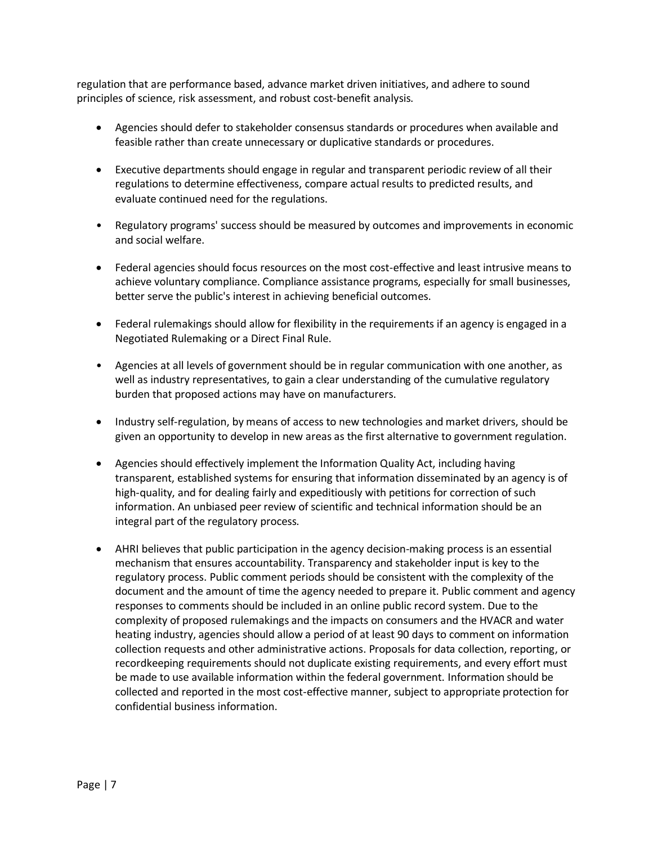regulation that are performance based, advance market driven initiatives, and adhere to sound principles of science, risk assessment, and robust cost-benefit analysis.

- Agencies should defer to stakeholder consensus standards or procedures when available and feasible rather than create unnecessary or duplicative standards or procedures.
- Executive departments should engage in regular and transparent periodic review of all their regulations to determine effectiveness, compare actual results to predicted results, and evaluate continued need for the regulations.
- Regulatory programs' success should be measured by outcomes and improvements in economic and social welfare.
- Federal agencies should focus resources on the most cost-effective and least intrusive means to achieve voluntary compliance. Compliance assistance programs, especially for small businesses, better serve the public's interest in achieving beneficial outcomes.
- Federal rulemakings should allow for flexibility in the requirements if an agency is engaged in a Negotiated Rulemaking or a Direct Final Rule.
- Agencies at all levels of government should be in regular communication with one another, as well as industry representatives, to gain a clear understanding of the cumulative regulatory burden that proposed actions may have on manufacturers.
- Industry self-regulation, by means of access to new technologies and market drivers, should be given an opportunity to develop in new areas as the first alternative to government regulation.
- Agencies should effectively implement the Information Quality Act, including having transparent, established systems for ensuring that information disseminated by an agency is of high-quality, and for dealing fairly and expeditiously with petitions for correction of such information. An unbiased peer review of scientific and technical information should be an integral part of the regulatory process.
- AHRI believes that public participation in the agency decision-making process is an essential mechanism that ensures accountability. Transparency and stakeholder input is key to the regulatory process. Public comment periods should be consistent with the complexity of the document and the amount of time the agency needed to prepare it. Public comment and agency responses to comments should be included in an online public record system. Due to the complexity of proposed rulemakings and the impacts on consumers and the HVACR and water heating industry, agencies should allow a period of at least 90 days to comment on information collection requests and other administrative actions. Proposals for data collection, reporting, or recordkeeping requirements should not duplicate existing requirements, and every effort must be made to use available information within the federal government. Information should be collected and reported in the most cost-effective manner, subject to appropriate protection for confidential business information.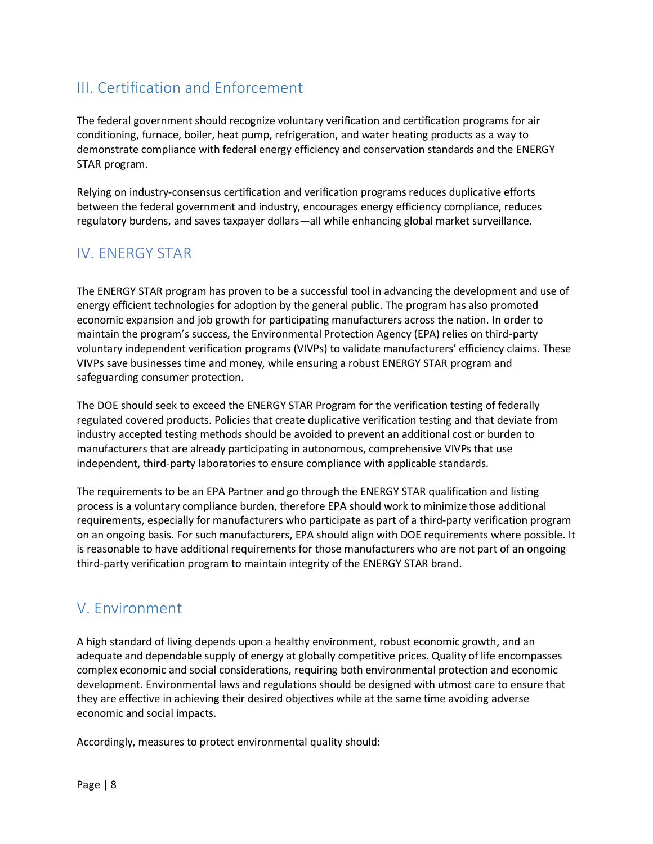# <span id="page-7-0"></span>III. Certification and Enforcement

The federal government should recognize voluntary verification and certification programs for air conditioning, furnace, boiler, heat pump, refrigeration, and water heating products as a way to demonstrate compliance with federal energy efficiency and conservation standards and the ENERGY STAR program.

Relying on industry-consensus certification and verification programs reduces duplicative efforts between the federal government and industry, encourages energy efficiency compliance, reduces regulatory burdens, and saves taxpayer dollars—all while enhancing global market surveillance.

# <span id="page-7-1"></span>IV. ENERGY STAR

The ENERGY STAR program has proven to be a successful tool in advancing the development and use of energy efficient technologies for adoption by the general public. The program has also promoted economic expansion and job growth for participating manufacturers across the nation. In order to maintain the program's success, the Environmental Protection Agency (EPA) relies on third-party voluntary independent verification programs (VIVPs) to validate manufacturers' efficiency claims. These VIVPs save businesses time and money, while ensuring a robust ENERGY STAR program and safeguarding consumer protection.

The DOE should seek to exceed the ENERGY STAR Program for the verification testing of federally regulated covered products. Policies that create duplicative verification testing and that deviate from industry accepted testing methods should be avoided to prevent an additional cost or burden to manufacturers that are already participating in autonomous, comprehensive VIVPs that use independent, third-party laboratories to ensure compliance with applicable standards.

The requirements to be an EPA Partner and go through the ENERGY STAR qualification and listing process is a voluntary compliance burden, therefore EPA should work to minimize those additional requirements, especially for manufacturers who participate as part of a third-party verification program on an ongoing basis. For such manufacturers, EPA should align with DOE requirements where possible. It is reasonable to have additional requirements for those manufacturers who are not part of an ongoing third-party verification program to maintain integrity of the ENERGY STAR brand.

# <span id="page-7-2"></span>V. Environment

A high standard of living depends upon a healthy environment, robust economic growth, and an adequate and dependable supply of energy at globally competitive prices. Quality of life encompasses complex economic and social considerations, requiring both environmental protection and economic development. Environmental laws and regulations should be designed with utmost care to ensure that they are effective in achieving their desired objectives while at the same time avoiding adverse economic and social impacts.

Accordingly, measures to protect environmental quality should: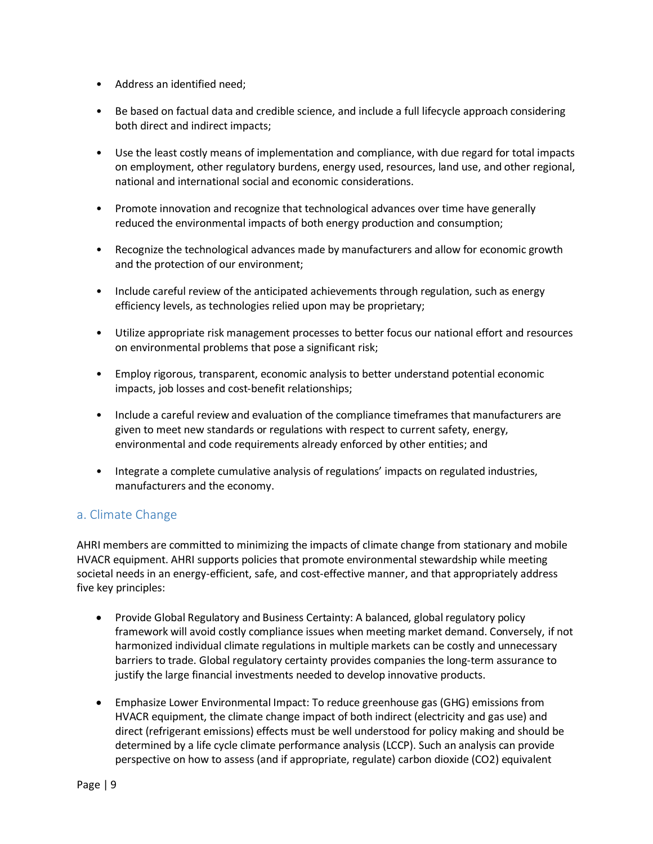- Address an identified need;
- Be based on factual data and credible science, and include a full lifecycle approach considering both direct and indirect impacts;
- Use the least costly means of implementation and compliance, with due regard for total impacts on employment, other regulatory burdens, energy used, resources, land use, and other regional, national and international social and economic considerations.
- Promote innovation and recognize that technological advances over time have generally reduced the environmental impacts of both energy production and consumption;
- Recognize the technological advances made by manufacturers and allow for economic growth and the protection of our environment;
- Include careful review of the anticipated achievements through regulation, such as energy efficiency levels, as technologies relied upon may be proprietary;
- Utilize appropriate risk management processes to better focus our national effort and resources on environmental problems that pose a significant risk;
- Employ rigorous, transparent, economic analysis to better understand potential economic impacts, job losses and cost-benefit relationships;
- Include a careful review and evaluation of the compliance timeframes that manufacturers are given to meet new standards or regulations with respect to current safety, energy, environmental and code requirements already enforced by other entities; and
- Integrate a complete cumulative analysis of regulations' impacts on regulated industries, manufacturers and the economy.

### <span id="page-8-0"></span>a. Climate Change

AHRI members are committed to minimizing the impacts of climate change from stationary and mobile HVACR equipment. AHRI supports policies that promote environmental stewardship while meeting societal needs in an energy-efficient, safe, and cost-effective manner, and that appropriately address five key principles:

- Provide Global Regulatory and Business Certainty: A balanced, global regulatory policy framework will avoid costly compliance issues when meeting market demand. Conversely, if not harmonized individual climate regulations in multiple markets can be costly and unnecessary barriers to trade. Global regulatory certainty provides companies the long-term assurance to justify the large financial investments needed to develop innovative products.
- Emphasize Lower Environmental Impact: To reduce greenhouse gas (GHG) emissions from HVACR equipment, the climate change impact of both indirect (electricity and gas use) and direct (refrigerant emissions) effects must be well understood for policy making and should be determined by a life cycle climate performance analysis (LCCP). Such an analysis can provide perspective on how to assess (and if appropriate, regulate) carbon dioxide (CO2) equivalent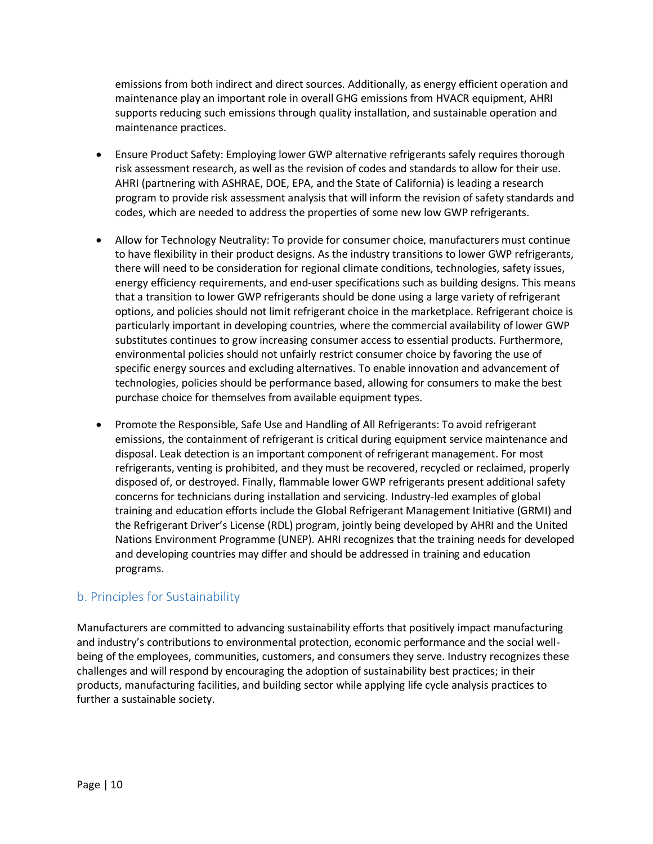emissions from both indirect and direct sources. Additionally, as energy efficient operation and maintenance play an important role in overall GHG emissions from HVACR equipment, AHRI supports reducing such emissions through quality installation, and sustainable operation and maintenance practices.

- Ensure Product Safety: Employing lower GWP alternative refrigerants safely requires thorough risk assessment research, as well as the revision of codes and standards to allow for their use. AHRI (partnering with ASHRAE, DOE, EPA, and the State of California) is leading a research program to provide risk assessment analysis that will inform the revision of safety standards and codes, which are needed to address the properties of some new low GWP refrigerants.
- Allow for Technology Neutrality: To provide for consumer choice, manufacturers must continue to have flexibility in their product designs. As the industry transitions to lower GWP refrigerants, there will need to be consideration for regional climate conditions, technologies, safety issues, energy efficiency requirements, and end-user specifications such as building designs. This means that a transition to lower GWP refrigerants should be done using a large variety of refrigerant options, and policies should not limit refrigerant choice in the marketplace. Refrigerant choice is particularly important in developing countries, where the commercial availability of lower GWP substitutes continues to grow increasing consumer access to essential products. Furthermore, environmental policies should not unfairly restrict consumer choice by favoring the use of specific energy sources and excluding alternatives. To enable innovation and advancement of technologies, policies should be performance based, allowing for consumers to make the best purchase choice for themselves from available equipment types.
- Promote the Responsible, Safe Use and Handling of All Refrigerants: To avoid refrigerant emissions, the containment of refrigerant is critical during equipment service maintenance and disposal. Leak detection is an important component of refrigerant management. For most refrigerants, venting is prohibited, and they must be recovered, recycled or reclaimed, properly disposed of, or destroyed. Finally, flammable lower GWP refrigerants present additional safety concerns for technicians during installation and servicing. Industry-led examples of global training and education efforts include the Global Refrigerant Management Initiative (GRMI) and the Refrigerant Driver's License (RDL) program, jointly being developed by AHRI and the United Nations Environment Programme (UNEP). AHRI recognizes that the training needs for developed and developing countries may differ and should be addressed in training and education programs.

### <span id="page-9-0"></span>b. Principles for Sustainability

Manufacturers are committed to advancing sustainability efforts that positively impact manufacturing and industry's contributions to environmental protection, economic performance and the social wellbeing of the employees, communities, customers, and consumers they serve. Industry recognizes these challenges and will respond by encouraging the adoption of sustainability best practices; in their products, manufacturing facilities, and building sector while applying life cycle analysis practices to further a sustainable society.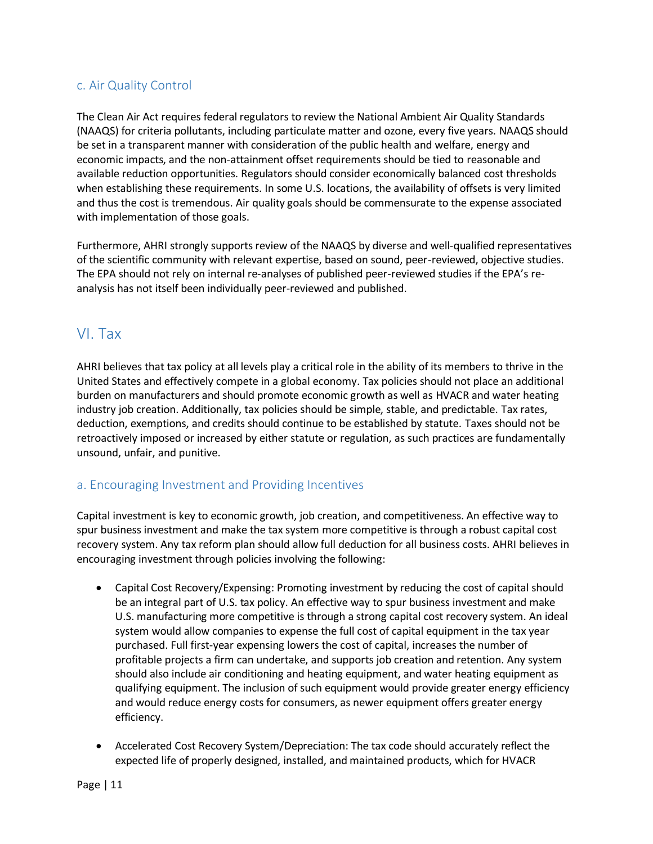### <span id="page-10-0"></span>c. Air Quality Control

The Clean Air Act requires federal regulators to review the National Ambient Air Quality Standards (NAAQS) for criteria pollutants, including particulate matter and ozone, every five years. NAAQS should be set in a transparent manner with consideration of the public health and welfare, energy and economic impacts, and the non-attainment offset requirements should be tied to reasonable and available reduction opportunities. Regulators should consider economically balanced cost thresholds when establishing these requirements. In some U.S. locations, the availability of offsets is very limited and thus the cost is tremendous. Air quality goals should be commensurate to the expense associated with implementation of those goals.

Furthermore, AHRI strongly supports review of the NAAQS by diverse and well-qualified representatives of the scientific community with relevant expertise, based on sound, peer-reviewed, objective studies. The EPA should not rely on internal re-analyses of published peer-reviewed studies if the EPA's reanalysis has not itself been individually peer-reviewed and published.

### <span id="page-10-1"></span>VI. Tax

AHRI believes that tax policy at all levels play a critical role in the ability of its members to thrive in the United States and effectively compete in a global economy. Tax policies should not place an additional burden on manufacturers and should promote economic growth as well as HVACR and water heating industry job creation. Additionally, tax policies should be simple, stable, and predictable. Tax rates, deduction, exemptions, and credits should continue to be established by statute. Taxes should not be retroactively imposed or increased by either statute or regulation, as such practices are fundamentally unsound, unfair, and punitive.

### <span id="page-10-2"></span>a. Encouraging Investment and Providing Incentives

Capital investment is key to economic growth, job creation, and competitiveness. An effective way to spur business investment and make the tax system more competitive is through a robust capital cost recovery system. Any tax reform plan should allow full deduction for all business costs. AHRI believes in encouraging investment through policies involving the following:

- Capital Cost Recovery/Expensing: Promoting investment by reducing the cost of capital should be an integral part of U.S. tax policy. An effective way to spur business investment and make U.S. manufacturing more competitive is through a strong capital cost recovery system. An ideal system would allow companies to expense the full cost of capital equipment in the tax year purchased. Full first-year expensing lowers the cost of capital, increases the number of profitable projects a firm can undertake, and supports job creation and retention. Any system should also include air conditioning and heating equipment, and water heating equipment as qualifying equipment. The inclusion of such equipment would provide greater energy efficiency and would reduce energy costs for consumers, as newer equipment offers greater energy efficiency.
- Accelerated Cost Recovery System/Depreciation: The tax code should accurately reflect the expected life of properly designed, installed, and maintained products, which for HVACR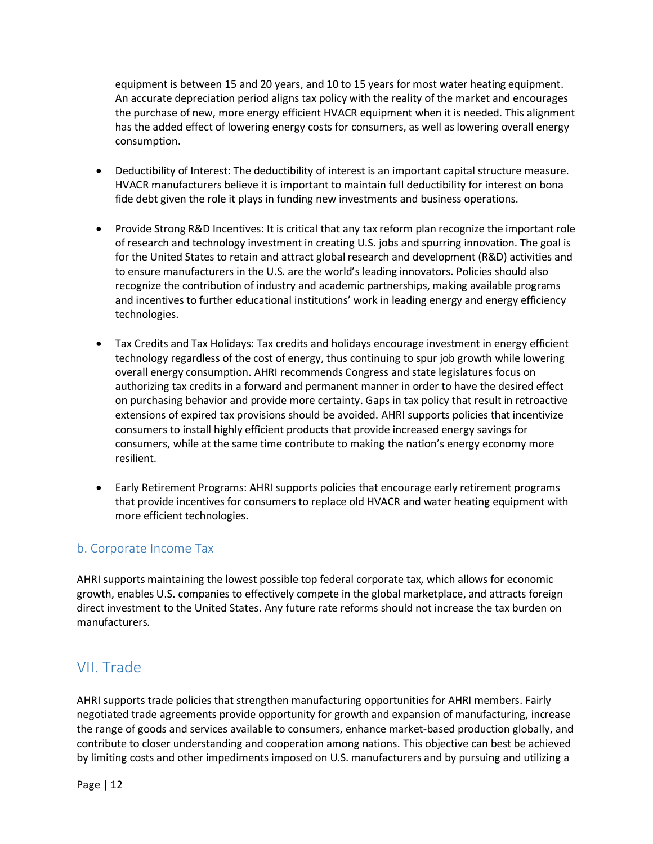equipment is between 15 and 20 years, and 10 to 15 years for most water heating equipment. An accurate depreciation period aligns tax policy with the reality of the market and encourages the purchase of new, more energy efficient HVACR equipment when it is needed. This alignment has the added effect of lowering energy costs for consumers, as well as lowering overall energy consumption.

- Deductibility of Interest: The deductibility of interest is an important capital structure measure. HVACR manufacturers believe it is important to maintain full deductibility for interest on bona fide debt given the role it plays in funding new investments and business operations.
- Provide Strong R&D Incentives: It is critical that any tax reform plan recognize the important role of research and technology investment in creating U.S. jobs and spurring innovation. The goal is for the United States to retain and attract global research and development (R&D) activities and to ensure manufacturers in the U.S. are the world's leading innovators. Policies should also recognize the contribution of industry and academic partnerships, making available programs and incentives to further educational institutions' work in leading energy and energy efficiency technologies.
- Tax Credits and Tax Holidays: Tax credits and holidays encourage investment in energy efficient technology regardless of the cost of energy, thus continuing to spur job growth while lowering overall energy consumption. AHRI recommends Congress and state legislatures focus on authorizing tax credits in a forward and permanent manner in order to have the desired effect on purchasing behavior and provide more certainty. Gaps in tax policy that result in retroactive extensions of expired tax provisions should be avoided. AHRI supports policies that incentivize consumers to install highly efficient products that provide increased energy savings for consumers, while at the same time contribute to making the nation's energy economy more resilient.
- Early Retirement Programs: AHRI supports policies that encourage early retirement programs that provide incentives for consumers to replace old HVACR and water heating equipment with more efficient technologies.

### <span id="page-11-0"></span>b. Corporate Income Tax

AHRI supports maintaining the lowest possible top federal corporate tax, which allows for economic growth, enables U.S. companies to effectively compete in the global marketplace, and attracts foreign direct investment to the United States. Any future rate reforms should not increase the tax burden on manufacturers.

### <span id="page-11-1"></span>VII. Trade

AHRI supports trade policies that strengthen manufacturing opportunities for AHRI members. Fairly negotiated trade agreements provide opportunity for growth and expansion of manufacturing, increase the range of goods and services available to consumers, enhance market-based production globally, and contribute to closer understanding and cooperation among nations. This objective can best be achieved by limiting costs and other impediments imposed on U.S. manufacturers and by pursuing and utilizing a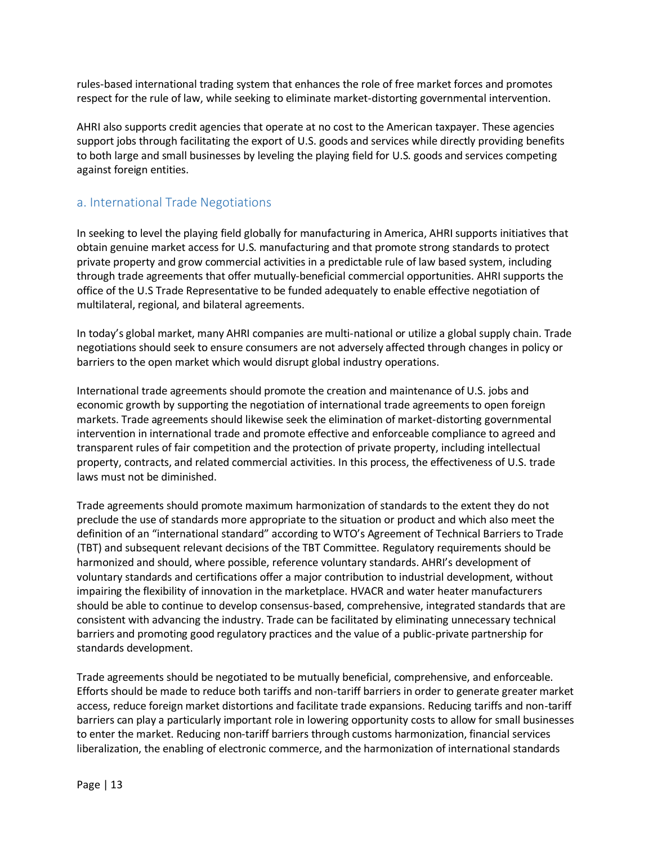rules-based international trading system that enhances the role of free market forces and promotes respect for the rule of law, while seeking to eliminate market-distorting governmental intervention.

AHRI also supports credit agencies that operate at no cost to the American taxpayer. These agencies support jobs through facilitating the export of U.S. goods and services while directly providing benefits to both large and small businesses by leveling the playing field for U.S. goods and services competing against foreign entities.

#### <span id="page-12-0"></span>a. International Trade Negotiations

In seeking to level the playing field globally for manufacturing in America, AHRI supports initiatives that obtain genuine market access for U.S. manufacturing and that promote strong standards to protect private property and grow commercial activities in a predictable rule of law based system, including through trade agreements that offer mutually-beneficial commercial opportunities. AHRI supports the office of the U.S Trade Representative to be funded adequately to enable effective negotiation of multilateral, regional, and bilateral agreements.

In today's global market, many AHRI companies are multi-national or utilize a global supply chain. Trade negotiations should seek to ensure consumers are not adversely affected through changes in policy or barriers to the open market which would disrupt global industry operations.

International trade agreements should promote the creation and maintenance of U.S. jobs and economic growth by supporting the negotiation of international trade agreements to open foreign markets. Trade agreements should likewise seek the elimination of market-distorting governmental intervention in international trade and promote effective and enforceable compliance to agreed and transparent rules of fair competition and the protection of private property, including intellectual property, contracts, and related commercial activities. In this process, the effectiveness of U.S. trade laws must not be diminished.

Trade agreements should promote maximum harmonization of standards to the extent they do not preclude the use of standards more appropriate to the situation or product and which also meet the definition of an "international standard" according to WTO's Agreement of Technical Barriers to Trade (TBT) and subsequent relevant decisions of the TBT Committee. Regulatory requirements should be harmonized and should, where possible, reference voluntary standards. AHRI's development of voluntary standards and certifications offer a major contribution to industrial development, without impairing the flexibility of innovation in the marketplace. HVACR and water heater manufacturers should be able to continue to develop consensus-based, comprehensive, integrated standards that are consistent with advancing the industry. Trade can be facilitated by eliminating unnecessary technical barriers and promoting good regulatory practices and the value of a public-private partnership for standards development.

Trade agreements should be negotiated to be mutually beneficial, comprehensive, and enforceable. Efforts should be made to reduce both tariffs and non-tariff barriers in order to generate greater market access, reduce foreign market distortions and facilitate trade expansions. Reducing tariffs and non-tariff barriers can play a particularly important role in lowering opportunity costs to allow for small businesses to enter the market. Reducing non-tariff barriers through customs harmonization, financial services liberalization, the enabling of electronic commerce, and the harmonization of international standards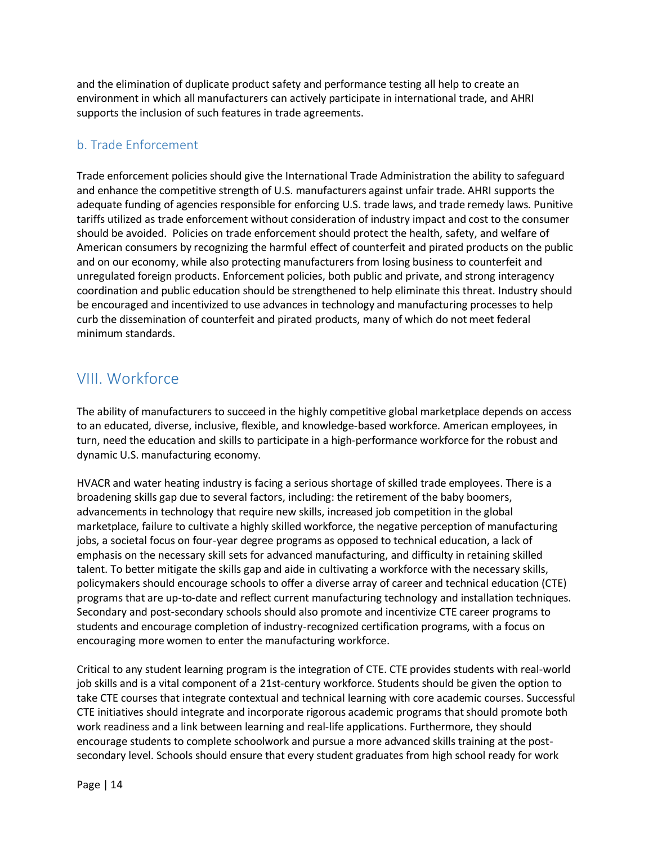and the elimination of duplicate product safety and performance testing all help to create an environment in which all manufacturers can actively participate in international trade, and AHRI supports the inclusion of such features in trade agreements.

### <span id="page-13-0"></span>b. Trade Enforcement

Trade enforcement policies should give the International Trade Administration the ability to safeguard and enhance the competitive strength of U.S. manufacturers against unfair trade. AHRI supports the adequate funding of agencies responsible for enforcing U.S. trade laws, and trade remedy laws. Punitive tariffs utilized as trade enforcement without consideration of industry impact and cost to the consumer should be avoided. Policies on trade enforcement should protect the health, safety, and welfare of American consumers by recognizing the harmful effect of counterfeit and pirated products on the public and on our economy, while also protecting manufacturers from losing business to counterfeit and unregulated foreign products. Enforcement policies, both public and private, and strong interagency coordination and public education should be strengthened to help eliminate this threat. Industry should be encouraged and incentivized to use advances in technology and manufacturing processes to help curb the dissemination of counterfeit and pirated products, many of which do not meet federal minimum standards.

# <span id="page-13-1"></span>VIII. Workforce

The ability of manufacturers to succeed in the highly competitive global marketplace depends on access to an educated, diverse, inclusive, flexible, and knowledge-based workforce. American employees, in turn, need the education and skills to participate in a high-performance workforce for the robust and dynamic U.S. manufacturing economy.

HVACR and water heating industry is facing a serious shortage of skilled trade employees. There is a broadening skills gap due to several factors, including: the retirement of the baby boomers, advancements in technology that require new skills, increased job competition in the global marketplace, failure to cultivate a highly skilled workforce, the negative perception of manufacturing jobs, a societal focus on four-year degree programs as opposed to technical education, a lack of emphasis on the necessary skill sets for advanced manufacturing, and difficulty in retaining skilled talent. To better mitigate the skills gap and aide in cultivating a workforce with the necessary skills, policymakers should encourage schools to offer a diverse array of career and technical education (CTE) programs that are up-to-date and reflect current manufacturing technology and installation techniques. Secondary and post-secondary schools should also promote and incentivize CTE career programs to students and encourage completion of industry-recognized certification programs, with a focus on encouraging more women to enter the manufacturing workforce.

Critical to any student learning program is the integration of CTE. CTE provides students with real-world job skills and is a vital component of a 21st-century workforce. Students should be given the option to take CTE courses that integrate contextual and technical learning with core academic courses. Successful CTE initiatives should integrate and incorporate rigorous academic programs that should promote both work readiness and a link between learning and real-life applications. Furthermore, they should encourage students to complete schoolwork and pursue a more advanced skills training at the postsecondary level. Schools should ensure that every student graduates from high school ready for work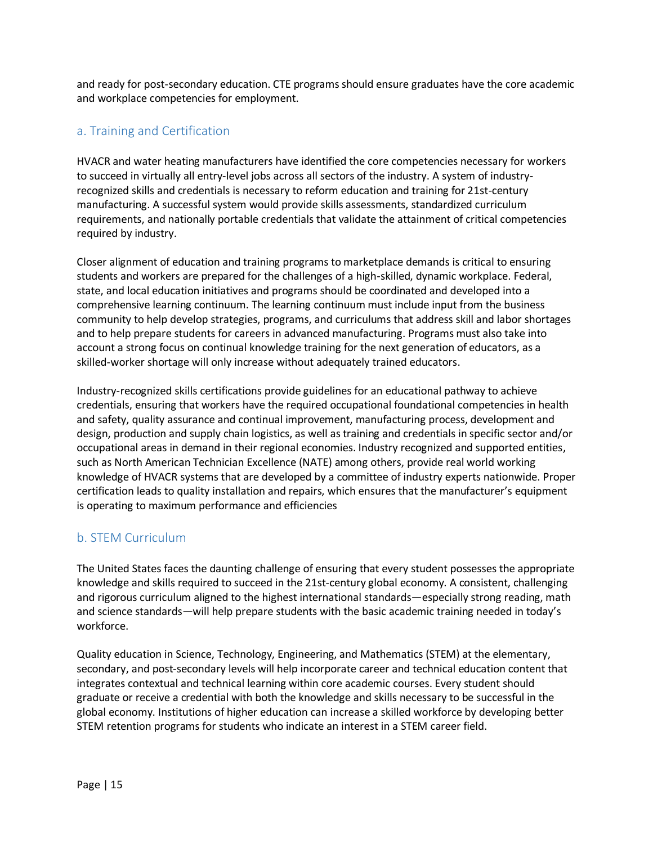and ready for post-secondary education. CTE programs should ensure graduates have the core academic and workplace competencies for employment.

### <span id="page-14-0"></span>a. Training and Certification

HVACR and water heating manufacturers have identified the core competencies necessary for workers to succeed in virtually all entry-level jobs across all sectors of the industry. A system of industryrecognized skills and credentials is necessary to reform education and training for 21st-century manufacturing. A successful system would provide skills assessments, standardized curriculum requirements, and nationally portable credentials that validate the attainment of critical competencies required by industry.

Closer alignment of education and training programs to marketplace demands is critical to ensuring students and workers are prepared for the challenges of a high-skilled, dynamic workplace. Federal, state, and local education initiatives and programs should be coordinated and developed into a comprehensive learning continuum. The learning continuum must include input from the business community to help develop strategies, programs, and curriculums that address skill and labor shortages and to help prepare students for careers in advanced manufacturing. Programs must also take into account a strong focus on continual knowledge training for the next generation of educators, as a skilled-worker shortage will only increase without adequately trained educators.

Industry-recognized skills certifications provide guidelines for an educational pathway to achieve credentials, ensuring that workers have the required occupational foundational competencies in health and safety, quality assurance and continual improvement, manufacturing process, development and design, production and supply chain logistics, as well as training and credentials in specific sector and/or occupational areas in demand in their regional economies. Industry recognized and supported entities, such as North American Technician Excellence (NATE) among others, provide real world working knowledge of HVACR systems that are developed by a committee of industry experts nationwide. Proper certification leads to quality installation and repairs, which ensures that the manufacturer's equipment is operating to maximum performance and efficiencies

#### <span id="page-14-1"></span>b. STEM Curriculum

The United States faces the daunting challenge of ensuring that every student possesses the appropriate knowledge and skills required to succeed in the 21st-century global economy. A consistent, challenging and rigorous curriculum aligned to the highest international standards—especially strong reading, math and science standards—will help prepare students with the basic academic training needed in today's workforce.

Quality education in Science, Technology, Engineering, and Mathematics (STEM) at the elementary, secondary, and post-secondary levels will help incorporate career and technical education content that integrates contextual and technical learning within core academic courses. Every student should graduate or receive a credential with both the knowledge and skills necessary to be successful in the global economy. Institutions of higher education can increase a skilled workforce by developing better STEM retention programs for students who indicate an interest in a STEM career field.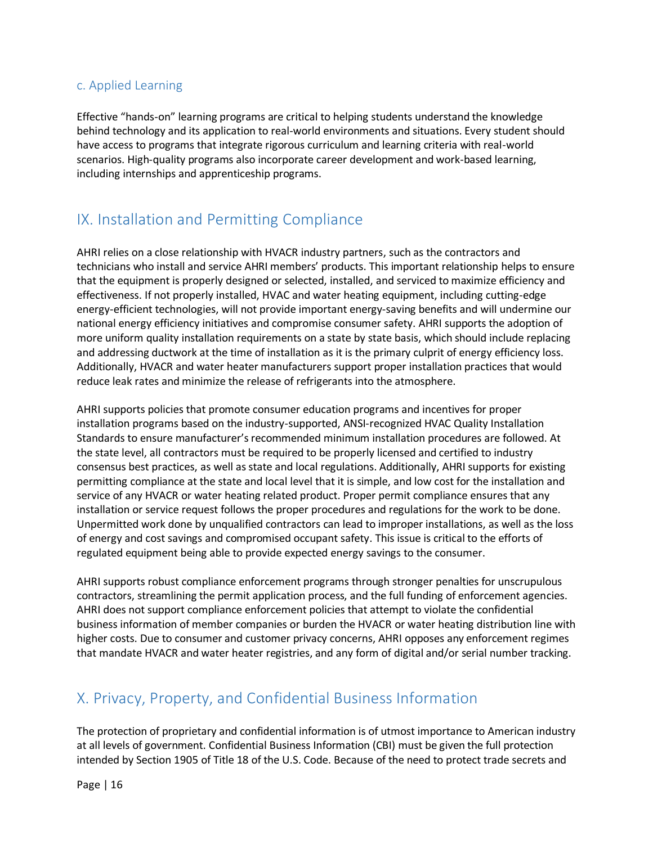#### <span id="page-15-0"></span>c. Applied Learning

Effective "hands-on" learning programs are critical to helping students understand the knowledge behind technology and its application to real-world environments and situations. Every student should have access to programs that integrate rigorous curriculum and learning criteria with real-world scenarios. High-quality programs also incorporate career development and work-based learning, including internships and apprenticeship programs.

# <span id="page-15-1"></span>IX. Installation and Permitting Compliance

AHRI relies on a close relationship with HVACR industry partners, such as the contractors and technicians who install and service AHRI members' products. This important relationship helps to ensure that the equipment is properly designed or selected, installed, and serviced to maximize efficiency and effectiveness. If not properly installed, HVAC and water heating equipment, including cutting-edge energy-efficient technologies, will not provide important energy-saving benefits and will undermine our national energy efficiency initiatives and compromise consumer safety. AHRI supports the adoption of more uniform quality installation requirements on a state by state basis, which should include replacing and addressing ductwork at the time of installation as it is the primary culprit of energy efficiency loss. Additionally, HVACR and water heater manufacturers support proper installation practices that would reduce leak rates and minimize the release of refrigerants into the atmosphere.

AHRI supports policies that promote consumer education programs and incentives for proper installation programs based on the industry-supported, ANSI-recognized HVAC Quality Installation Standards to ensure manufacturer's recommended minimum installation procedures are followed. At the state level, all contractors must be required to be properly licensed and certified to industry consensus best practices, as well as state and local regulations. Additionally, AHRI supports for existing permitting compliance at the state and local level that it is simple, and low cost for the installation and service of any HVACR or water heating related product. Proper permit compliance ensures that any installation or service request follows the proper procedures and regulations for the work to be done. Unpermitted work done by unqualified contractors can lead to improper installations, as well as the loss of energy and cost savings and compromised occupant safety. This issue is critical to the efforts of regulated equipment being able to provide expected energy savings to the consumer.

AHRI supports robust compliance enforcement programs through stronger penalties for unscrupulous contractors, streamlining the permit application process, and the full funding of enforcement agencies. AHRI does not support compliance enforcement policies that attempt to violate the confidential business information of member companies or burden the HVACR or water heating distribution line with higher costs. Due to consumer and customer privacy concerns, AHRI opposes any enforcement regimes that mandate HVACR and water heater registries, and any form of digital and/or serial number tracking.

### <span id="page-15-2"></span>X. Privacy, Property, and Confidential Business Information

The protection of proprietary and confidential information is of utmost importance to American industry at all levels of government. Confidential Business Information (CBI) must be given the full protection intended by Section 1905 of Title 18 of the U.S. Code. Because of the need to protect trade secrets and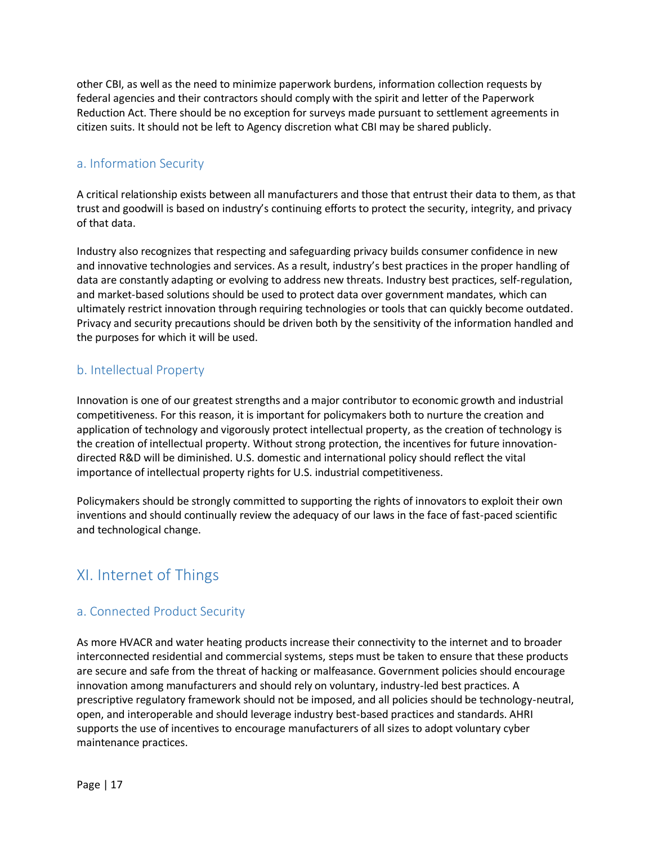other CBI, as well as the need to minimize paperwork burdens, information collection requests by federal agencies and their contractors should comply with the spirit and letter of the Paperwork Reduction Act. There should be no exception for surveys made pursuant to settlement agreements in citizen suits. It should not be left to Agency discretion what CBI may be shared publicly.

#### <span id="page-16-0"></span>a. Information Security

A critical relationship exists between all manufacturers and those that entrust their data to them, as that trust and goodwill is based on industry's continuing efforts to protect the security, integrity, and privacy of that data.

Industry also recognizes that respecting and safeguarding privacy builds consumer confidence in new and innovative technologies and services. As a result, industry's best practices in the proper handling of data are constantly adapting or evolving to address new threats. Industry best practices, self-regulation, and market-based solutions should be used to protect data over government mandates, which can ultimately restrict innovation through requiring technologies or tools that can quickly become outdated. Privacy and security precautions should be driven both by the sensitivity of the information handled and the purposes for which it will be used.

### <span id="page-16-1"></span>b. Intellectual Property

Innovation is one of our greatest strengths and a major contributor to economic growth and industrial competitiveness. For this reason, it is important for policymakers both to nurture the creation and application of technology and vigorously protect intellectual property, as the creation of technology is the creation of intellectual property. Without strong protection, the incentives for future innovationdirected R&D will be diminished. U.S. domestic and international policy should reflect the vital importance of intellectual property rights for U.S. industrial competitiveness.

Policymakers should be strongly committed to supporting the rights of innovators to exploit their own inventions and should continually review the adequacy of our laws in the face of fast-paced scientific and technological change.

# <span id="page-16-2"></span>XI. Internet of Things

### <span id="page-16-3"></span>a. Connected Product Security

As more HVACR and water heating products increase their connectivity to the internet and to broader interconnected residential and commercial systems, steps must be taken to ensure that these products are secure and safe from the threat of hacking or malfeasance. Government policies should encourage innovation among manufacturers and should rely on voluntary, industry-led best practices. A prescriptive regulatory framework should not be imposed, and all policies should be technology-neutral, open, and interoperable and should leverage industry best-based practices and standards. AHRI supports the use of incentives to encourage manufacturers of all sizes to adopt voluntary cyber maintenance practices.